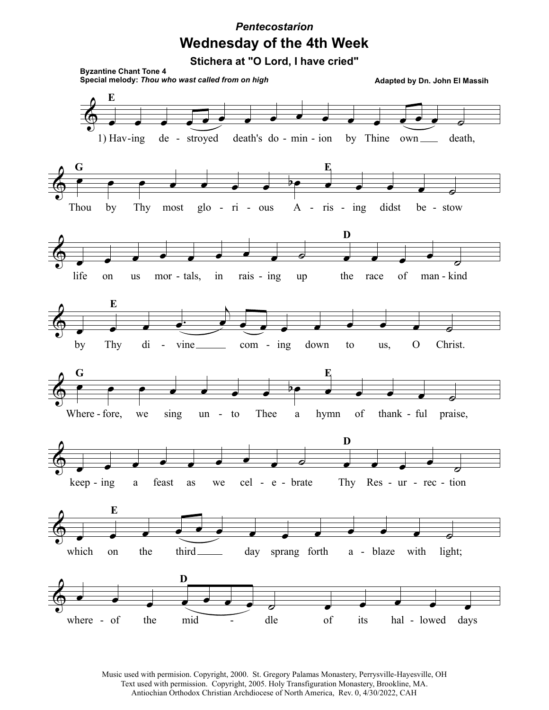## **Wednesday of the 4th Week** *Pentecostarion*

**Stichera at "O Lord, I have cried"**



Music used with permision. Copyright, 2000. St. Gregory Palamas Monastery, Perrysville-Hayesville, OH Text used with permission. Copyright, 2005. Holy Transfiguration Monastery, Brookline, MA. Antiochian Orthodox Christian Archdiocese of North America, Rev. 0, 4/30/2022, CAH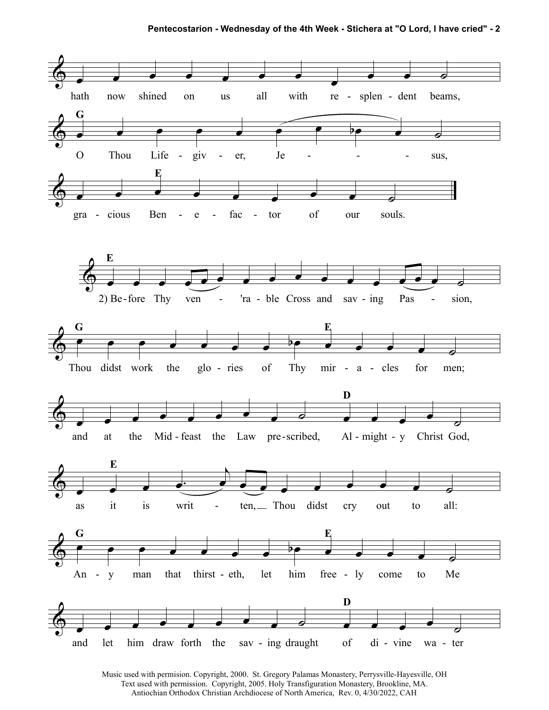**Pentecostarion - Wednesday of the 4th Week - Stichera at "O Lord, I have cried" - 2**



Music used with permision. Copyright, 2000. St. Gregory Palamas Monastery, Perrysville-Hayesville, OH Text used with permission. Copyright, 2005. Holy Transfiguration Monastery, Brookline, MA. Antiochian Orthodox Christian Archdiocese of North America, Rev. 0, 4/30/2022, CAH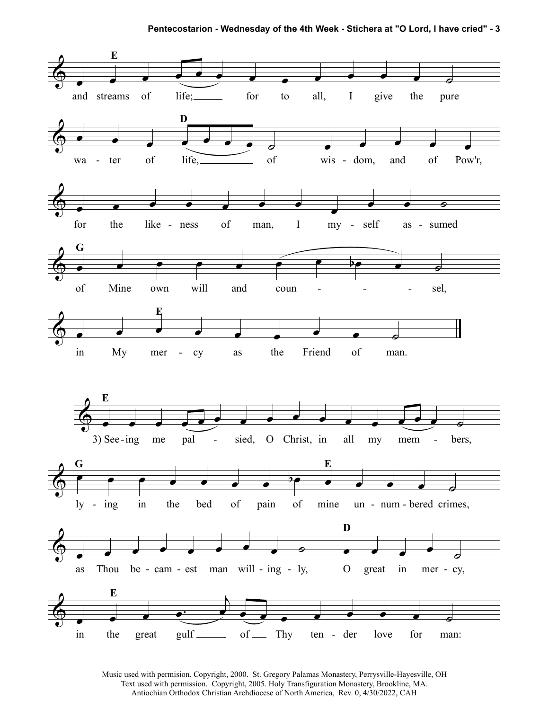

Music used with permision. Copyright, 2000. St. Gregory Palamas Monastery, Perrysville-Hayesville, OH Text used with permission. Copyright, 2005. Holy Transfiguration Monastery, Brookline, MA. Antiochian Orthodox Christian Archdiocese of North America, Rev. 0, 4/30/2022, CAH